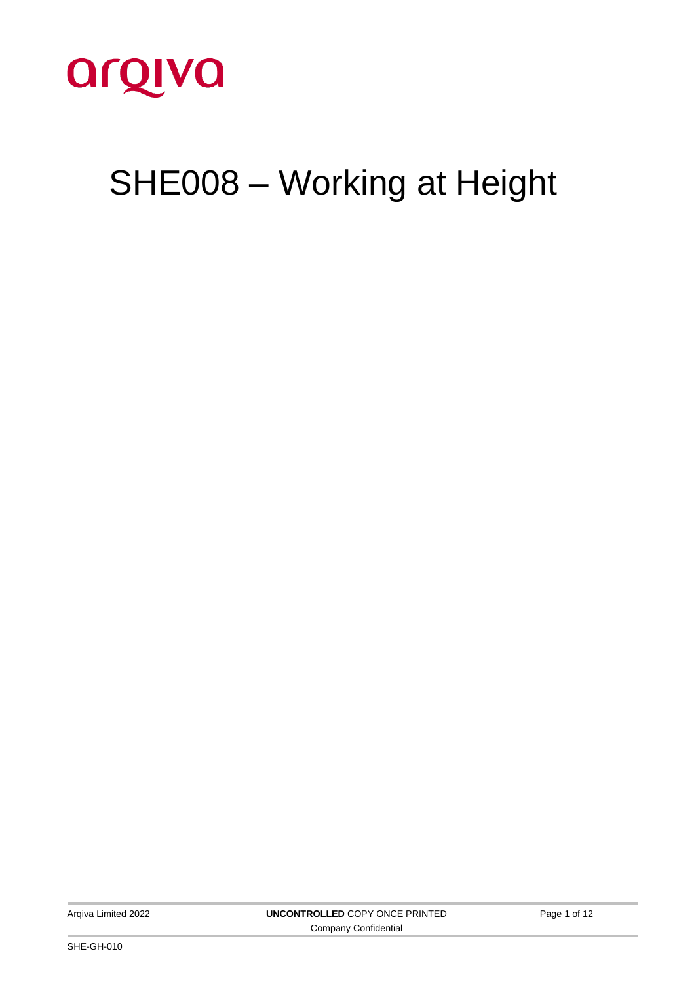

# SHE008 – Working at Height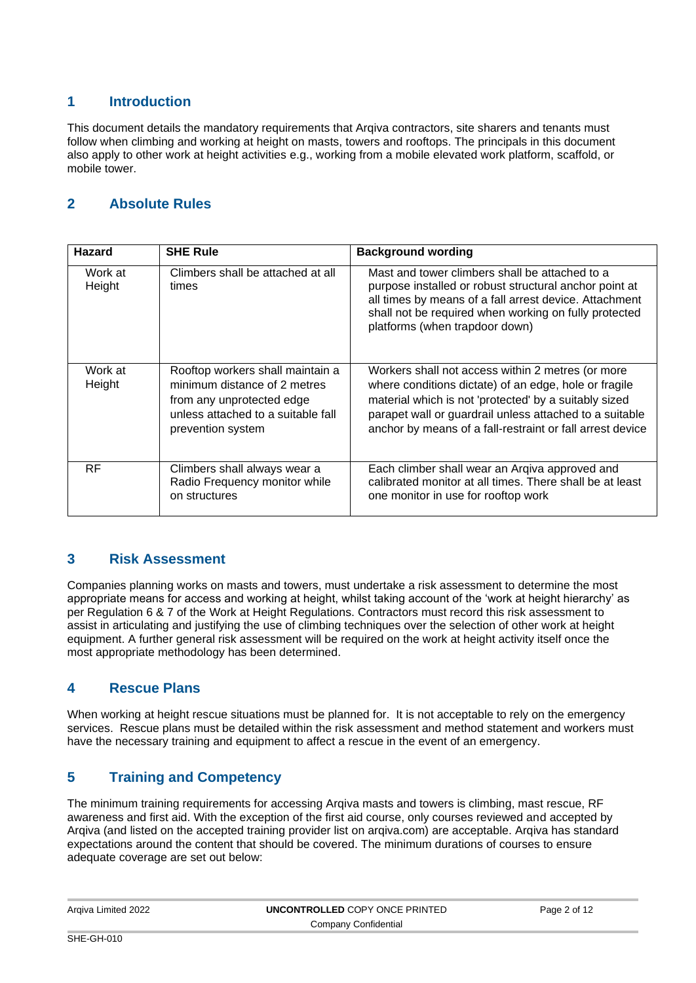## **1 Introduction**

This document details the mandatory requirements that Arqiva contractors, site sharers and tenants must follow when climbing and working at height on masts, towers and rooftops. The principals in this document also apply to other work at height activities e.g., working from a mobile elevated work platform, scaffold, or mobile tower.

# **2 Absolute Rules**

| <b>Hazard</b>     | <b>SHE Rule</b>                                                                                                                                          | <b>Background wording</b>                                                                                                                                                                                                                                                                   |
|-------------------|----------------------------------------------------------------------------------------------------------------------------------------------------------|---------------------------------------------------------------------------------------------------------------------------------------------------------------------------------------------------------------------------------------------------------------------------------------------|
| Work at<br>Height | Climbers shall be attached at all<br>times                                                                                                               | Mast and tower climbers shall be attached to a<br>purpose installed or robust structural anchor point at<br>all times by means of a fall arrest device. Attachment<br>shall not be required when working on fully protected<br>platforms (when trapdoor down)                               |
| Work at<br>Height | Rooftop workers shall maintain a<br>minimum distance of 2 metres<br>from any unprotected edge<br>unless attached to a suitable fall<br>prevention system | Workers shall not access within 2 metres (or more<br>where conditions dictate) of an edge, hole or fragile<br>material which is not 'protected' by a suitably sized<br>parapet wall or guardrail unless attached to a suitable<br>anchor by means of a fall-restraint or fall arrest device |
| <b>RF</b>         | Climbers shall always wear a<br>Radio Frequency monitor while<br>on structures                                                                           | Each climber shall wear an Argiva approved and<br>calibrated monitor at all times. There shall be at least<br>one monitor in use for rooftop work                                                                                                                                           |

## **3 Risk Assessment**

Companies planning works on masts and towers, must undertake a risk assessment to determine the most appropriate means for access and working at height, whilst taking account of the 'work at height hierarchy' as per Regulation 6 & 7 of the Work at Height Regulations. Contractors must record this risk assessment to assist in articulating and justifying the use of climbing techniques over the selection of other work at height equipment. A further general risk assessment will be required on the work at height activity itself once the most appropriate methodology has been determined.

## **4 Rescue Plans**

When working at height rescue situations must be planned for. It is not acceptable to rely on the emergency services. Rescue plans must be detailed within the risk assessment and method statement and workers must have the necessary training and equipment to affect a rescue in the event of an emergency.

# **5 Training and Competency**

The minimum training requirements for accessing Arqiva masts and towers is climbing, mast rescue, RF awareness and first aid. With the exception of the first aid course, only courses reviewed and accepted by Arqiva (and listed on the accepted training provider list on arqiva.com) are acceptable. Arqiva has standard expectations around the content that should be covered. The minimum durations of courses to ensure adequate coverage are set out below:

| Arqiva Limited 2022 | UNCONTROLLED COPY ONCE PRINTED | Page 2 of 12 |
|---------------------|--------------------------------|--------------|
|                     | Company Confidential           |              |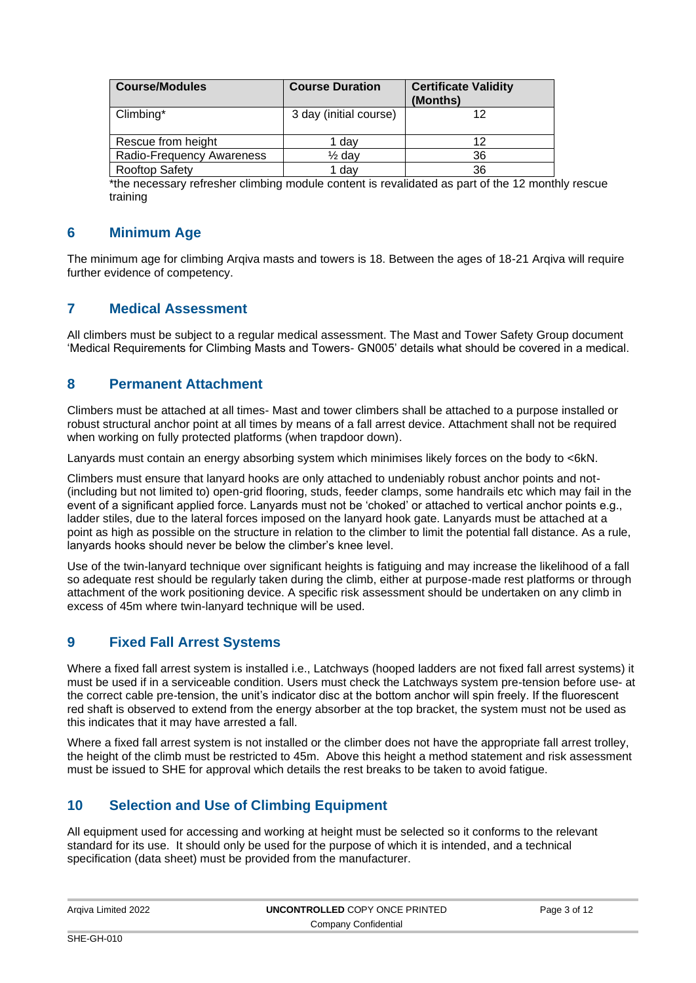| <b>Course/Modules</b>     | <b>Course Duration</b> | <b>Certificate Validity</b><br>(Months) |
|---------------------------|------------------------|-----------------------------------------|
| Climbing*                 | 3 day (initial course) | 12                                      |
| Rescue from height        | 1 day                  | 12                                      |
| Radio-Frequency Awareness | $\frac{1}{2}$ day      | 36                                      |
| Rooftop Safety            | 1 day                  | 36                                      |

\*the necessary refresher climbing module content is revalidated as part of the 12 monthly rescue training

## **6 Minimum Age**

The minimum age for climbing Arqiva masts and towers is 18. Between the ages of 18-21 Arqiva will require further evidence of competency.

## **7 Medical Assessment**

All climbers must be subject to a regular medical assessment. The Mast and Tower Safety Group document 'Medical Requirements for Climbing Masts and Towers- GN005' details what should be covered in a medical.

## **8 Permanent Attachment**

Climbers must be attached at all times- Mast and tower climbers shall be attached to a purpose installed or robust structural anchor point at all times by means of a fall arrest device. Attachment shall not be required when working on fully protected platforms (when trapdoor down).

Lanyards must contain an energy absorbing system which minimises likely forces on the body to <6kN.

Climbers must ensure that lanyard hooks are only attached to undeniably robust anchor points and not- (including but not limited to) open-grid flooring, studs, feeder clamps, some handrails etc which may fail in the event of a significant applied force. Lanyards must not be 'choked' or attached to vertical anchor points e.g., ladder stiles, due to the lateral forces imposed on the lanyard hook gate. Lanyards must be attached at a point as high as possible on the structure in relation to the climber to limit the potential fall distance. As a rule, lanyards hooks should never be below the climber's knee level.

Use of the twin-lanyard technique over significant heights is fatiguing and may increase the likelihood of a fall so adequate rest should be regularly taken during the climb, either at purpose-made rest platforms or through attachment of the work positioning device. A specific risk assessment should be undertaken on any climb in excess of 45m where twin-lanyard technique will be used.

## **9 Fixed Fall Arrest Systems**

Where a fixed fall arrest system is installed i.e., Latchways (hooped ladders are not fixed fall arrest systems) it must be used if in a serviceable condition. Users must check the Latchways system pre-tension before use- at the correct cable pre-tension, the unit's indicator disc at the bottom anchor will spin freely. If the fluorescent red shaft is observed to extend from the energy absorber at the top bracket, the system must not be used as this indicates that it may have arrested a fall.

Where a fixed fall arrest system is not installed or the climber does not have the appropriate fall arrest trolley, the height of the climb must be restricted to 45m. Above this height a method statement and risk assessment must be issued to SHE for approval which details the rest breaks to be taken to avoid fatigue.

## **10 Selection and Use of Climbing Equipment**

All equipment used for accessing and working at height must be selected so it conforms to the relevant standard for its use. It should only be used for the purpose of which it is intended, and a technical specification (data sheet) must be provided from the manufacturer.

| Argiva Limited 2022 | UNCONTROLLED COPY ONCE PRINTED | Page 3 of 12 |
|---------------------|--------------------------------|--------------|
|                     | Company Confidential           |              |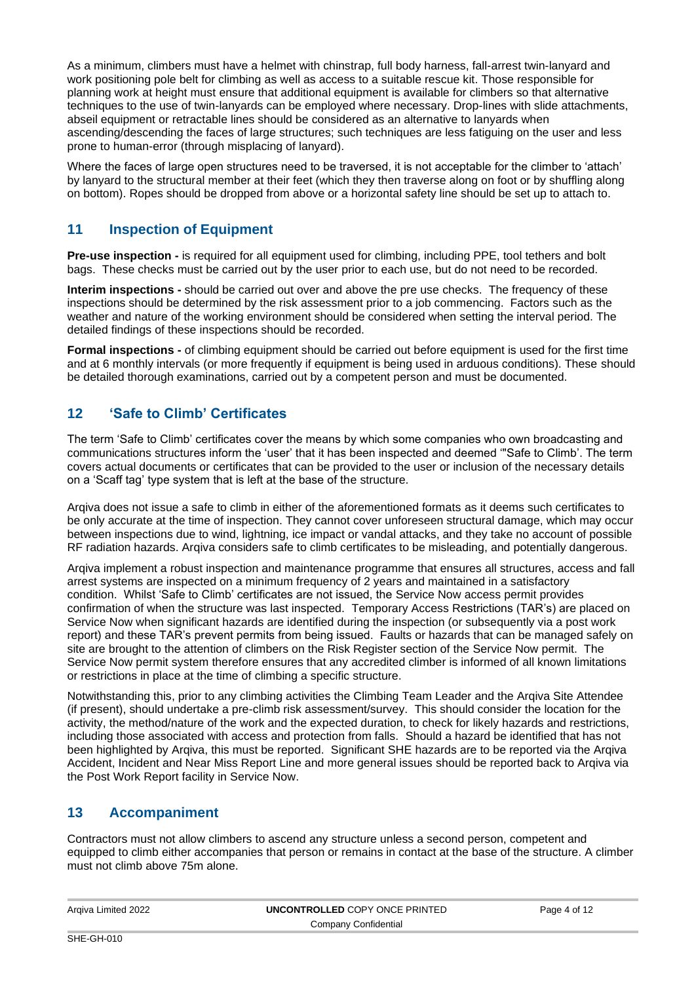As a minimum, climbers must have a helmet with chinstrap, full body harness, fall-arrest twin-lanyard and work positioning pole belt for climbing as well as access to a suitable rescue kit. Those responsible for planning work at height must ensure that additional equipment is available for climbers so that alternative techniques to the use of twin-lanyards can be employed where necessary. Drop-lines with slide attachments, abseil equipment or retractable lines should be considered as an alternative to lanyards when ascending/descending the faces of large structures; such techniques are less fatiguing on the user and less prone to human-error (through misplacing of lanyard).

Where the faces of large open structures need to be traversed, it is not acceptable for the climber to 'attach' by lanyard to the structural member at their feet (which they then traverse along on foot or by shuffling along on bottom). Ropes should be dropped from above or a horizontal safety line should be set up to attach to.

## **11 Inspection of Equipment**

**Pre-use inspection -** is required for all equipment used for climbing, including PPE, tool tethers and bolt bags. These checks must be carried out by the user prior to each use, but do not need to be recorded.

**Interim inspections -** should be carried out over and above the pre use checks. The frequency of these inspections should be determined by the risk assessment prior to a job commencing. Factors such as the weather and nature of the working environment should be considered when setting the interval period. The detailed findings of these inspections should be recorded.

**Formal inspections -** of climbing equipment should be carried out before equipment is used for the first time and at 6 monthly intervals (or more frequently if equipment is being used in arduous conditions). These should be detailed thorough examinations, carried out by a competent person and must be documented.

## **12 'Safe to Climb' Certificates**

The term 'Safe to Climb' certificates cover the means by which some companies who own broadcasting and communications structures inform the 'user' that it has been inspected and deemed '"Safe to Climb'. The term covers actual documents or certificates that can be provided to the user or inclusion of the necessary details on a 'Scaff tag' type system that is left at the base of the structure.

Arqiva does not issue a safe to climb in either of the aforementioned formats as it deems such certificates to be only accurate at the time of inspection. They cannot cover unforeseen structural damage, which may occur between inspections due to wind, lightning, ice impact or vandal attacks, and they take no account of possible RF radiation hazards. Arqiva considers safe to climb certificates to be misleading, and potentially dangerous.

Arqiva implement a robust inspection and maintenance programme that ensures all structures, access and fall arrest systems are inspected on a minimum frequency of 2 years and maintained in a satisfactory condition. Whilst 'Safe to Climb' certificates are not issued, the Service Now access permit provides confirmation of when the structure was last inspected. Temporary Access Restrictions (TAR's) are placed on Service Now when significant hazards are identified during the inspection (or subsequently via a post work report) and these TAR's prevent permits from being issued. Faults or hazards that can be managed safely on site are brought to the attention of climbers on the Risk Register section of the Service Now permit. The Service Now permit system therefore ensures that any accredited climber is informed of all known limitations or restrictions in place at the time of climbing a specific structure.

Notwithstanding this, prior to any climbing activities the Climbing Team Leader and the Arqiva Site Attendee (if present), should undertake a pre-climb risk assessment/survey. This should consider the location for the activity, the method/nature of the work and the expected duration, to check for likely hazards and restrictions, including those associated with access and protection from falls. Should a hazard be identified that has not been highlighted by Arqiva, this must be reported. Significant SHE hazards are to be reported via the Arqiva Accident, Incident and Near Miss Report Line and more general issues should be reported back to Arqiva via the Post Work Report facility in Service Now.

## **13 Accompaniment**

Contractors must not allow climbers to ascend any structure unless a second person, competent and equipped to climb either accompanies that person or remains in contact at the base of the structure. A climber must not climb above 75m alone.

| Argiva Limited 2022  | <b>UNCONTROLLED COPY ONCE PRINTED</b> | Page 4 of 12 |
|----------------------|---------------------------------------|--------------|
| Company Confidential |                                       |              |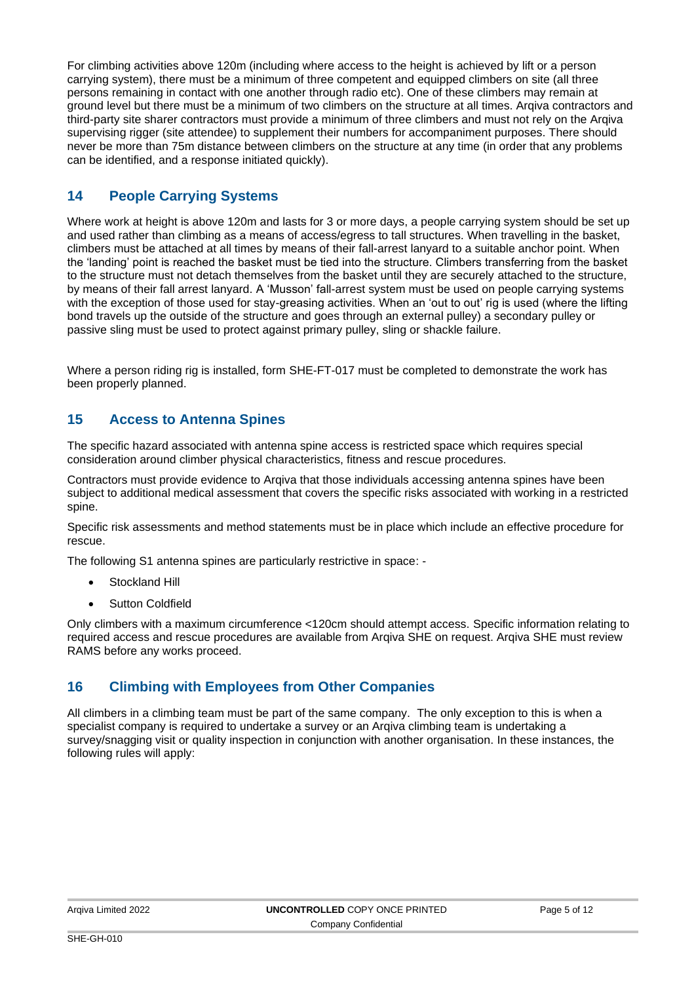For climbing activities above 120m (including where access to the height is achieved by lift or a person carrying system), there must be a minimum of three competent and equipped climbers on site (all three persons remaining in contact with one another through radio etc). One of these climbers may remain at ground level but there must be a minimum of two climbers on the structure at all times. Arqiva contractors and third-party site sharer contractors must provide a minimum of three climbers and must not rely on the Arqiva supervising rigger (site attendee) to supplement their numbers for accompaniment purposes. There should never be more than 75m distance between climbers on the structure at any time (in order that any problems can be identified, and a response initiated quickly).

# **14 People Carrying Systems**

Where work at height is above 120m and lasts for 3 or more days, a people carrying system should be set up and used rather than climbing as a means of access/egress to tall structures. When travelling in the basket, climbers must be attached at all times by means of their fall-arrest lanyard to a suitable anchor point. When the 'landing' point is reached the basket must be tied into the structure. Climbers transferring from the basket to the structure must not detach themselves from the basket until they are securely attached to the structure, by means of their fall arrest lanyard. A 'Musson' fall-arrest system must be used on people carrying systems with the exception of those used for stay-greasing activities. When an 'out to out' rig is used (where the lifting bond travels up the outside of the structure and goes through an external pulley) a secondary pulley or passive sling must be used to protect against primary pulley, sling or shackle failure.

Where a person riding rig is installed, form SHE-FT-017 must be completed to demonstrate the work has been properly planned.

## **15 Access to Antenna Spines**

The specific hazard associated with antenna spine access is restricted space which requires special consideration around climber physical characteristics, fitness and rescue procedures.

Contractors must provide evidence to Arqiva that those individuals accessing antenna spines have been subject to additional medical assessment that covers the specific risks associated with working in a restricted spine.

Specific risk assessments and method statements must be in place which include an effective procedure for rescue.

The following S1 antenna spines are particularly restrictive in space: -

- Stockland Hill
- Sutton Coldfield

Only climbers with a maximum circumference <120cm should attempt access. Specific information relating to required access and rescue procedures are available from Arqiva SHE on request. Arqiva SHE must review RAMS before any works proceed.

## **16 Climbing with Employees from Other Companies**

All climbers in a climbing team must be part of the same company. The only exception to this is when a specialist company is required to undertake a survey or an Arqiva climbing team is undertaking a survey/snagging visit or quality inspection in conjunction with another organisation. In these instances, the following rules will apply: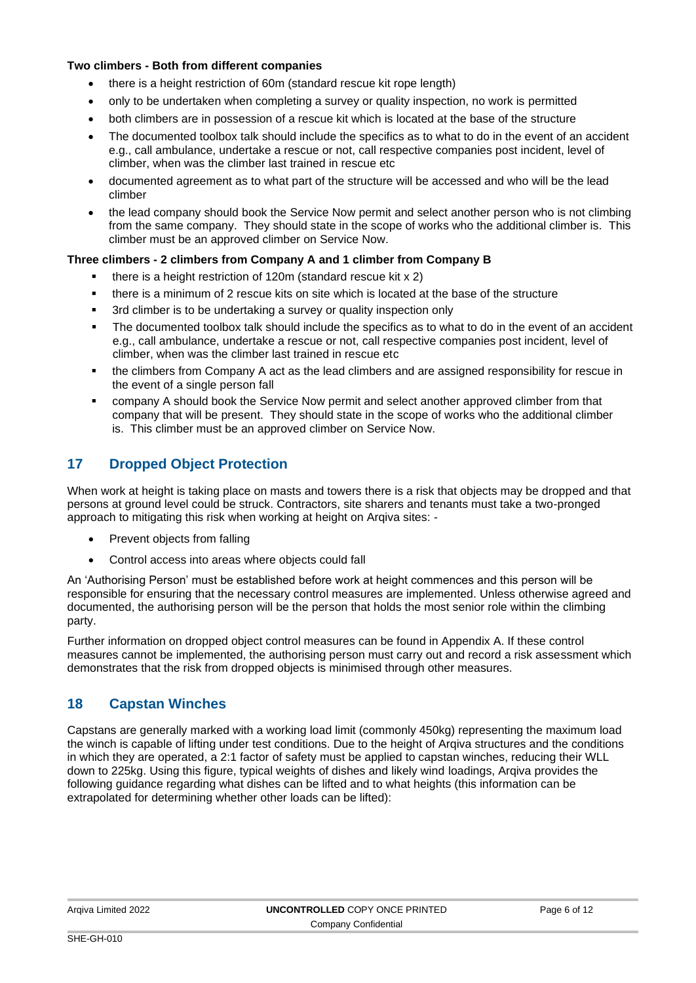#### **Two climbers - Both from different companies**

- there is a height restriction of 60m (standard rescue kit rope length)
- only to be undertaken when completing a survey or quality inspection, no work is permitted
- both climbers are in possession of a rescue kit which is located at the base of the structure
- The documented toolbox talk should include the specifics as to what to do in the event of an accident e.g., call ambulance, undertake a rescue or not, call respective companies post incident, level of climber, when was the climber last trained in rescue etc
- documented agreement as to what part of the structure will be accessed and who will be the lead climber
- the lead company should book the Service Now permit and select another person who is not climbing from the same company. They should state in the scope of works who the additional climber is. This climber must be an approved climber on Service Now.

#### **Three climbers - 2 climbers from Company A and 1 climber from Company B**

- there is a height restriction of  $120m$  (standard rescue kit x 2)
- there is a minimum of 2 rescue kits on site which is located at the base of the structure
- 3rd climber is to be undertaking a survey or quality inspection only
- The documented toolbox talk should include the specifics as to what to do in the event of an accident e.g., call ambulance, undertake a rescue or not, call respective companies post incident, level of climber, when was the climber last trained in rescue etc
- the climbers from Company A act as the lead climbers and are assigned responsibility for rescue in the event of a single person fall
- company A should book the Service Now permit and select another approved climber from that company that will be present. They should state in the scope of works who the additional climber is. This climber must be an approved climber on Service Now.

# **17 Dropped Object Protection**

When work at height is taking place on masts and towers there is a risk that objects may be dropped and that persons at ground level could be struck. Contractors, site sharers and tenants must take a two-pronged approach to mitigating this risk when working at height on Arqiva sites: -

- Prevent objects from falling
- Control access into areas where objects could fall

An 'Authorising Person' must be established before work at height commences and this person will be responsible for ensuring that the necessary control measures are implemented. Unless otherwise agreed and documented, the authorising person will be the person that holds the most senior role within the climbing party.

Further information on dropped object control measures can be found in Appendix A. If these control measures cannot be implemented, the authorising person must carry out and record a risk assessment which demonstrates that the risk from dropped objects is minimised through other measures.

## **18 Capstan Winches**

Capstans are generally marked with a working load limit (commonly 450kg) representing the maximum load the winch is capable of lifting under test conditions. Due to the height of Arqiva structures and the conditions in which they are operated, a 2:1 factor of safety must be applied to capstan winches, reducing their WLL down to 225kg. Using this figure, typical weights of dishes and likely wind loadings, Arqiva provides the following guidance regarding what dishes can be lifted and to what heights (this information can be extrapolated for determining whether other loads can be lifted):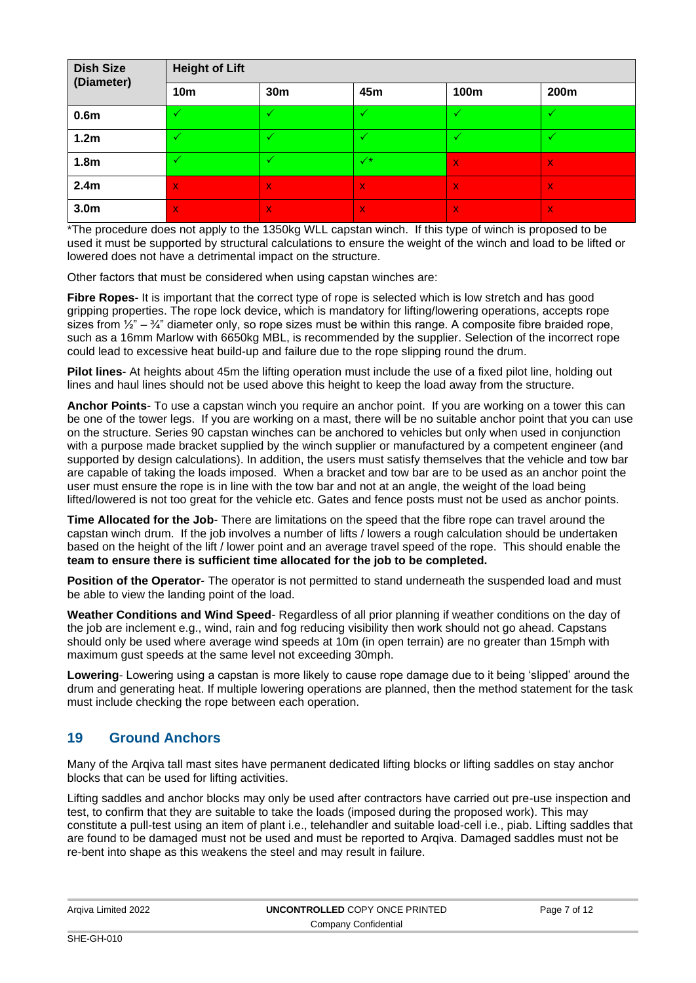| <b>Dish Size</b><br>(Diameter) | <b>Height of Lift</b>     |                 |                |              |              |
|--------------------------------|---------------------------|-----------------|----------------|--------------|--------------|
|                                | <b>10m</b>                | 30 <sub>m</sub> | 45m            | 100m         | 200m         |
| 0.6 <sub>m</sub>               | ✓                         | √               | v              | ✓            | ✓            |
| 1.2 <sub>m</sub>               | 47                        | √               |                | v            |              |
| 1.8 <sub>m</sub>               | √                         | ✓               | $\checkmark^*$ | $\mathsf{X}$ | $\mathbf{x}$ |
| 2.4 <sub>m</sub>               | $\mathsf{x}$              | $\bf{X}$        | $\mathsf{X}$   | $\mathsf{X}$ | $\bf{X}$     |
| 3.0 <sub>m</sub>               | $\boldsymbol{\mathsf{x}}$ | $\bf{X}$        | $\bf{X}$       | $\mathsf{X}$ | $\mathbf x$  |

\*The procedure does not apply to the 1350kg WLL capstan winch. If this type of winch is proposed to be used it must be supported by structural calculations to ensure the weight of the winch and load to be lifted or lowered does not have a detrimental impact on the structure.

Other factors that must be considered when using capstan winches are:

**Fibre Ropes**- It is important that the correct type of rope is selected which is low stretch and has good gripping properties. The rope lock device, which is mandatory for lifting/lowering operations, accepts rope sizes from  $\frac{1}{2}$ " –  $\frac{3}{4}$ " diameter only, so rope sizes must be within this range. A composite fibre braided rope, such as a 16mm Marlow with 6650kg MBL, is recommended by the supplier. Selection of the incorrect rope could lead to excessive heat build-up and failure due to the rope slipping round the drum.

**Pilot lines**- At heights about 45m the lifting operation must include the use of a fixed pilot line, holding out lines and haul lines should not be used above this height to keep the load away from the structure.

**Anchor Points**- To use a capstan winch you require an anchor point. If you are working on a tower this can be one of the tower legs. If you are working on a mast, there will be no suitable anchor point that you can use on the structure. Series 90 capstan winches can be anchored to vehicles but only when used in conjunction with a purpose made bracket supplied by the winch supplier or manufactured by a competent engineer (and supported by design calculations). In addition, the users must satisfy themselves that the vehicle and tow bar are capable of taking the loads imposed. When a bracket and tow bar are to be used as an anchor point the user must ensure the rope is in line with the tow bar and not at an angle, the weight of the load being lifted/lowered is not too great for the vehicle etc. Gates and fence posts must not be used as anchor points.

**Time Allocated for the Job**- There are limitations on the speed that the fibre rope can travel around the capstan winch drum. If the job involves a number of lifts / lowers a rough calculation should be undertaken based on the height of the lift / lower point and an average travel speed of the rope. This should enable the **team to ensure there is sufficient time allocated for the job to be completed.** 

**Position of the Operator**- The operator is not permitted to stand underneath the suspended load and must be able to view the landing point of the load.

**Weather Conditions and Wind Speed**- Regardless of all prior planning if weather conditions on the day of the job are inclement e.g., wind, rain and fog reducing visibility then work should not go ahead. Capstans should only be used where average wind speeds at 10m (in open terrain) are no greater than 15mph with maximum gust speeds at the same level not exceeding 30mph.

**Lowering**- Lowering using a capstan is more likely to cause rope damage due to it being 'slipped' around the drum and generating heat. If multiple lowering operations are planned, then the method statement for the task must include checking the rope between each operation.

## **19 Ground Anchors**

Many of the Arqiva tall mast sites have permanent dedicated lifting blocks or lifting saddles on stay anchor blocks that can be used for lifting activities.

Lifting saddles and anchor blocks may only be used after contractors have carried out pre-use inspection and test, to confirm that they are suitable to take the loads (imposed during the proposed work). This may constitute a pull-test using an item of plant i.e., telehandler and suitable load-cell i.e., piab. Lifting saddles that are found to be damaged must not be used and must be reported to Arqiva. Damaged saddles must not be re-bent into shape as this weakens the steel and may result in failure.

| Argiva Limited 2022 | UNCONTROLLED COPY ONCE PRINTED | Page 7 of 12 |
|---------------------|--------------------------------|--------------|
|                     | Company Confidential           |              |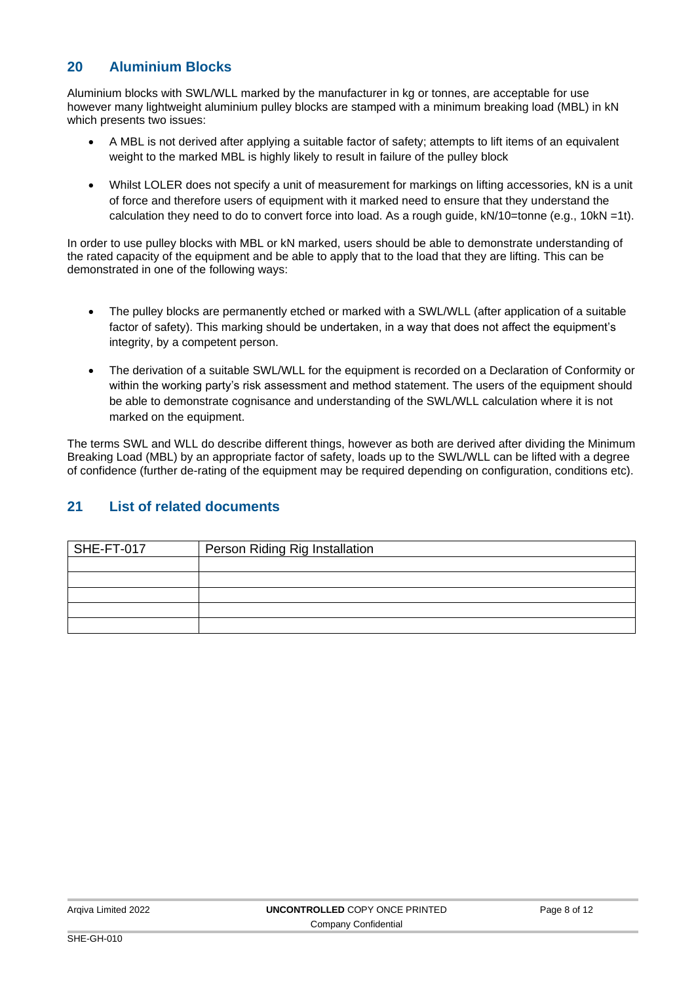## **20 Aluminium Blocks**

Aluminium blocks with SWL/WLL marked by the manufacturer in kg or tonnes, are acceptable for use however many lightweight aluminium pulley blocks are stamped with a minimum breaking load (MBL) in kN which presents two issues:

- A MBL is not derived after applying a suitable factor of safety; attempts to lift items of an equivalent weight to the marked MBL is highly likely to result in failure of the pulley block
- Whilst LOLER does not specify a unit of measurement for markings on lifting accessories, kN is a unit of force and therefore users of equipment with it marked need to ensure that they understand the calculation they need to do to convert force into load. As a rough guide, kN/10=tonne (e.g., 10kN =1t).

In order to use pulley blocks with MBL or kN marked, users should be able to demonstrate understanding of the rated capacity of the equipment and be able to apply that to the load that they are lifting. This can be demonstrated in one of the following ways:

- The pulley blocks are permanently etched or marked with a SWL/WLL (after application of a suitable factor of safety). This marking should be undertaken, in a way that does not affect the equipment's integrity, by a competent person.
- The derivation of a suitable SWL/WLL for the equipment is recorded on a Declaration of Conformity or within the working party's risk assessment and method statement. The users of the equipment should be able to demonstrate cognisance and understanding of the SWL/WLL calculation where it is not marked on the equipment.

The terms SWL and WLL do describe different things, however as both are derived after dividing the Minimum Breaking Load (MBL) by an appropriate factor of safety, loads up to the SWL/WLL can be lifted with a degree of confidence (further de-rating of the equipment may be required depending on configuration, conditions etc).

## **21 List of related documents**

| SHE-FT-017 | Person Riding Rig Installation |
|------------|--------------------------------|
|            |                                |
|            |                                |
|            |                                |
|            |                                |
|            |                                |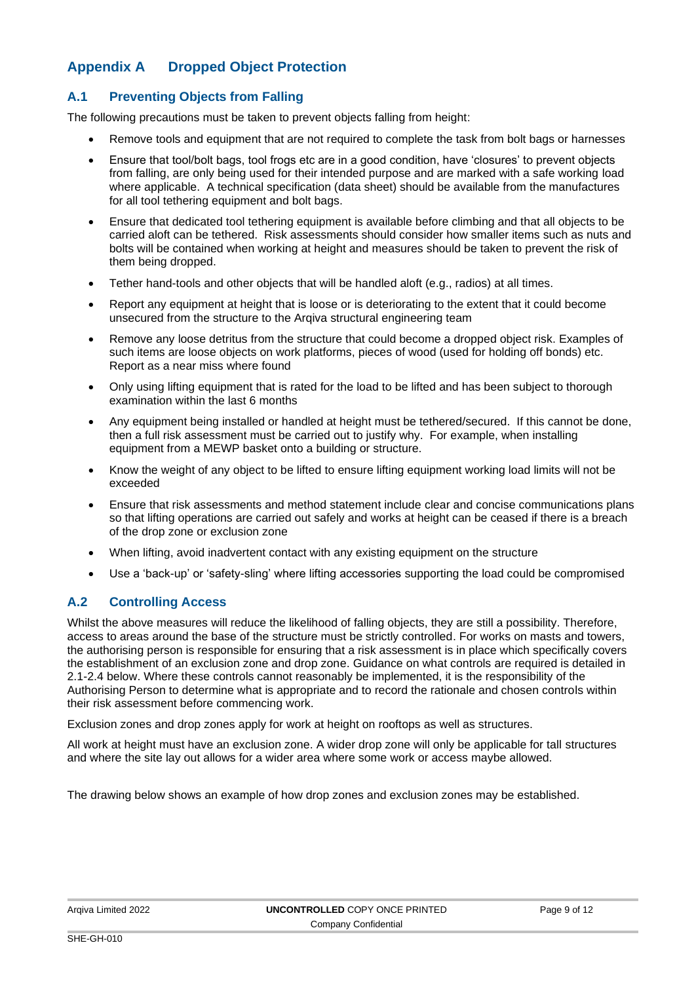# **Appendix A Dropped Object Protection**

## **A.1 Preventing Objects from Falling**

The following precautions must be taken to prevent objects falling from height:

- Remove tools and equipment that are not required to complete the task from bolt bags or harnesses
- Ensure that tool/bolt bags, tool frogs etc are in a good condition, have 'closures' to prevent objects from falling, are only being used for their intended purpose and are marked with a safe working load where applicable. A technical specification (data sheet) should be available from the manufactures for all tool tethering equipment and bolt bags.
- Ensure that dedicated tool tethering equipment is available before climbing and that all objects to be carried aloft can be tethered. Risk assessments should consider how smaller items such as nuts and bolts will be contained when working at height and measures should be taken to prevent the risk of them being dropped.
- Tether hand-tools and other objects that will be handled aloft (e.g., radios) at all times.
- Report any equipment at height that is loose or is deteriorating to the extent that it could become unsecured from the structure to the Arqiva structural engineering team
- Remove any loose detritus from the structure that could become a dropped object risk. Examples of such items are loose objects on work platforms, pieces of wood (used for holding off bonds) etc. Report as a near miss where found
- Only using lifting equipment that is rated for the load to be lifted and has been subject to thorough examination within the last 6 months
- Any equipment being installed or handled at height must be tethered/secured. If this cannot be done, then a full risk assessment must be carried out to justify why. For example, when installing equipment from a MEWP basket onto a building or structure.
- Know the weight of any object to be lifted to ensure lifting equipment working load limits will not be exceeded
- Ensure that risk assessments and method statement include clear and concise communications plans so that lifting operations are carried out safely and works at height can be ceased if there is a breach of the drop zone or exclusion zone
- When lifting, avoid inadvertent contact with any existing equipment on the structure
- Use a 'back-up' or 'safety-sling' where lifting accessories supporting the load could be compromised

#### **A.2 Controlling Access**

Whilst the above measures will reduce the likelihood of falling objects, they are still a possibility. Therefore, access to areas around the base of the structure must be strictly controlled. For works on masts and towers, the authorising person is responsible for ensuring that a risk assessment is in place which specifically covers the establishment of an exclusion zone and drop zone. Guidance on what controls are required is detailed in 2.1-2.4 below. Where these controls cannot reasonably be implemented, it is the responsibility of the Authorising Person to determine what is appropriate and to record the rationale and chosen controls within their risk assessment before commencing work.

Exclusion zones and drop zones apply for work at height on rooftops as well as structures.

All work at height must have an exclusion zone. A wider drop zone will only be applicable for tall structures and where the site lay out allows for a wider area where some work or access maybe allowed.

The drawing below shows an example of how drop zones and exclusion zones may be established.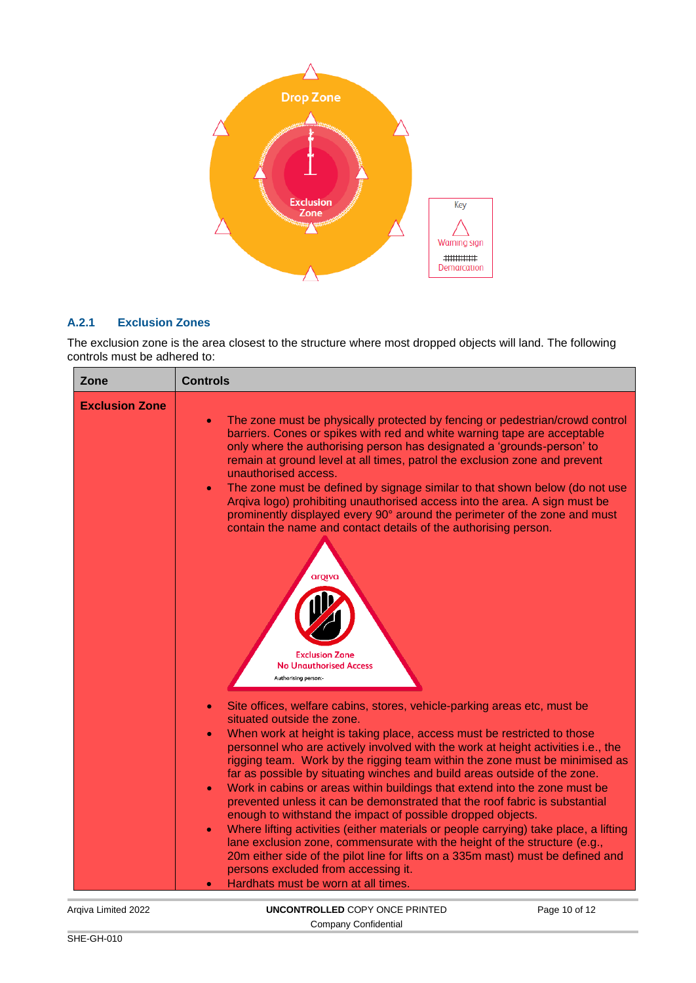

#### **A.2.1 Exclusion Zones**

The exclusion zone is the area closest to the structure where most dropped objects will land. The following controls must be adhered to:

| Zone                  | <b>Controls</b>                                                                                                                                                                                                                                                                                                                                                                                                                                                                                                                                                                                                                                                                                                                                                                                                                                                                                                                                                                                                                            |
|-----------------------|--------------------------------------------------------------------------------------------------------------------------------------------------------------------------------------------------------------------------------------------------------------------------------------------------------------------------------------------------------------------------------------------------------------------------------------------------------------------------------------------------------------------------------------------------------------------------------------------------------------------------------------------------------------------------------------------------------------------------------------------------------------------------------------------------------------------------------------------------------------------------------------------------------------------------------------------------------------------------------------------------------------------------------------------|
| <b>Exclusion Zone</b> | The zone must be physically protected by fencing or pedestrian/crowd control<br>barriers. Cones or spikes with red and white warning tape are acceptable<br>only where the authorising person has designated a 'grounds-person' to<br>remain at ground level at all times, patrol the exclusion zone and prevent<br>unauthorised access.<br>The zone must be defined by signage similar to that shown below (do not use<br>$\bullet$<br>Argiva logo) prohibiting unauthorised access into the area. A sign must be<br>prominently displayed every 90° around the perimeter of the zone and must<br>contain the name and contact details of the authorising person.<br>aroiva<br><b>Exclusion Zone</b><br><b>No Unauthorised Access</b><br>Authorising person:-                                                                                                                                                                                                                                                                             |
|                       | Site offices, welfare cabins, stores, vehicle-parking areas etc, must be<br>situated outside the zone.<br>When work at height is taking place, access must be restricted to those<br>$\bullet$<br>personnel who are actively involved with the work at height activities i.e., the<br>rigging team. Work by the rigging team within the zone must be minimised as<br>far as possible by situating winches and build areas outside of the zone.<br>Work in cabins or areas within buildings that extend into the zone must be<br>$\bullet$<br>prevented unless it can be demonstrated that the roof fabric is substantial<br>enough to withstand the impact of possible dropped objects.<br>Where lifting activities (either materials or people carrying) take place, a lifting<br>$\bullet$<br>lane exclusion zone, commensurate with the height of the structure (e.g.,<br>20m either side of the pilot line for lifts on a 335m mast) must be defined and<br>persons excluded from accessing it.<br>Hardhats must be worn at all times. |

Arqiva Limited 2022 **UNCONTROLLED** COPY ONCE PRINTED Company Confidential Page 10 of 12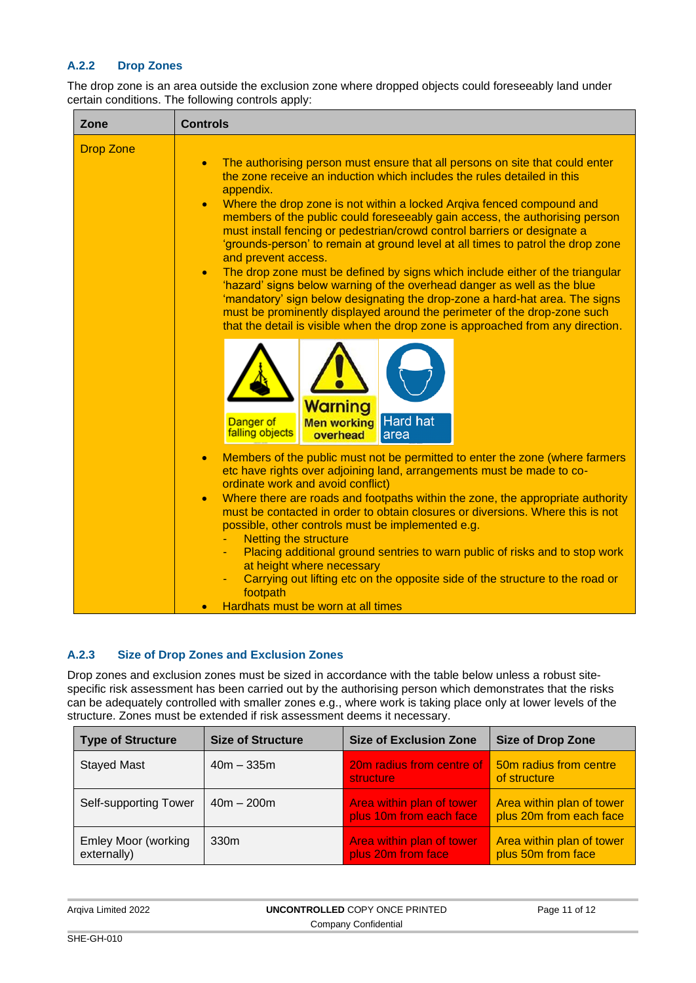#### **A.2.2 Drop Zones**

The drop zone is an area outside the exclusion zone where dropped objects could foreseeably land under certain conditions. The following controls apply:

| Zone             | <b>Controls</b>                                                                                                                                                                                                                                                                                                                                                                                                                                                                                                                                                                                                                                                                                                                                                                                                                                                                                                                                                     |
|------------------|---------------------------------------------------------------------------------------------------------------------------------------------------------------------------------------------------------------------------------------------------------------------------------------------------------------------------------------------------------------------------------------------------------------------------------------------------------------------------------------------------------------------------------------------------------------------------------------------------------------------------------------------------------------------------------------------------------------------------------------------------------------------------------------------------------------------------------------------------------------------------------------------------------------------------------------------------------------------|
| <b>Drop Zone</b> | The authorising person must ensure that all persons on site that could enter<br>$\bullet$<br>the zone receive an induction which includes the rules detailed in this<br>appendix.<br>Where the drop zone is not within a locked Argiva fenced compound and<br>$\bullet$<br>members of the public could foreseeably gain access, the authorising person<br>must install fencing or pedestrian/crowd control barriers or designate a<br>'grounds-person' to remain at ground level at all times to patrol the drop zone<br>and prevent access.<br>The drop zone must be defined by signs which include either of the triangular<br>$\bullet$<br>'hazard' signs below warning of the overhead danger as well as the blue<br>'mandatory' sign below designating the drop-zone a hard-hat area. The signs<br>must be prominently displayed around the perimeter of the drop-zone such<br>that the detail is visible when the drop zone is approached from any direction. |
|                  | Warning<br>Hard hat<br><b>Men working</b><br>Danger of<br>falling objects<br>overhead<br>area                                                                                                                                                                                                                                                                                                                                                                                                                                                                                                                                                                                                                                                                                                                                                                                                                                                                       |
|                  | Members of the public must not be permitted to enter the zone (where farmers<br>$\bullet$<br>etc have rights over adjoining land, arrangements must be made to co-<br>ordinate work and avoid conflict)<br>Where there are roads and footpaths within the zone, the appropriate authority<br>$\bullet$<br>must be contacted in order to obtain closures or diversions. Where this is not<br>possible, other controls must be implemented e.g.<br><b>Netting the structure</b><br>Placing additional ground sentries to warn public of risks and to stop work<br>at height where necessary<br>Carrying out lifting etc on the opposite side of the structure to the road or<br>footpath<br>Hardhats must be worn at all times                                                                                                                                                                                                                                        |

#### **A.2.3 Size of Drop Zones and Exclusion Zones**

Drop zones and exclusion zones must be sized in accordance with the table below unless a robust sitespecific risk assessment has been carried out by the authorising person which demonstrates that the risks can be adequately controlled with smaller zones e.g., where work is taking place only at lower levels of the structure. Zones must be extended if risk assessment deems it necessary.

| <b>Type of Structure</b>                  | <b>Size of Structure</b> | <b>Size of Exclusion Zone</b>                        | <b>Size of Drop Zone</b>                             |
|-------------------------------------------|--------------------------|------------------------------------------------------|------------------------------------------------------|
| <b>Stayed Mast</b>                        | $40m - 335m$             | 20m radius from centre of<br>structure               | 50m radius from centre<br>of structure               |
| Self-supporting Tower                     | $40m - 200m$             | Area within plan of tower<br>plus 10m from each face | Area within plan of tower<br>plus 20m from each face |
| <b>Emley Moor (working</b><br>externally) | 330 <sub>m</sub>         | Area within plan of tower<br>plus 20m from face      | Area within plan of tower<br>plus 50m from face      |